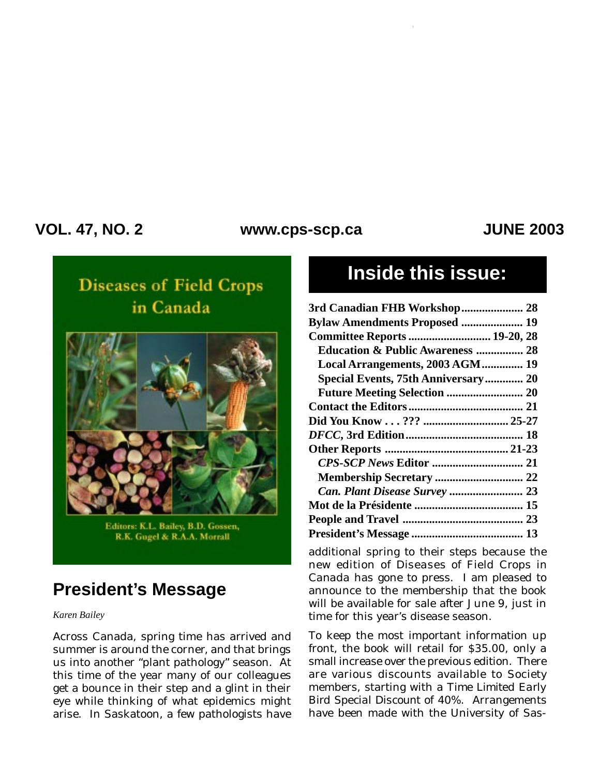### **VOL. 47, NO. 2 JUNE 2003 www.cps-scp.ca**

# **Diseases of Field Crops** in Canada



Editors: K.L. Bailey, B.D. Gossen, R.K. Gugel & R.A.A. Morrall

## **President's Message**

#### *Karen Bailey*

Across Canada, spring time has arrived and summer is around the corner, and that brings us into another "plant pathology" season. At this time of the year many of our colleagues get a bounce in their step and a glint in their eye while thinking of what epidemics might arise. In Saskatoon, a few pathologists have

# **Inside this issue:**

| 3rd Canadian FHB Workshop 28                |  |
|---------------------------------------------|--|
| <b>Bylaw Amendments Proposed  19</b>        |  |
| <b>Committee Reports  19-20, 28</b>         |  |
| <b>Education &amp; Public Awareness  28</b> |  |
| Local Arrangements, 2003 AGM 19             |  |
| Special Events, 75th Anniversary 20         |  |
|                                             |  |
|                                             |  |
|                                             |  |
|                                             |  |
|                                             |  |
|                                             |  |
|                                             |  |
|                                             |  |
|                                             |  |
|                                             |  |
|                                             |  |
|                                             |  |

additional spring to their steps because the new edition of *Diseases of Field Crops in Canada* has gone to press. I am pleased to announce to the membership that the book will be available for sale after June 9, just in time for this year's disease season.

To keep the most important information up front, the book will retail for \$35.00, only a small increase over the previous edition. There are various discounts available to Society members, starting with a *Time Limited Early Bird Special Discount* of 40%. Arrangements have been made with the University of Sas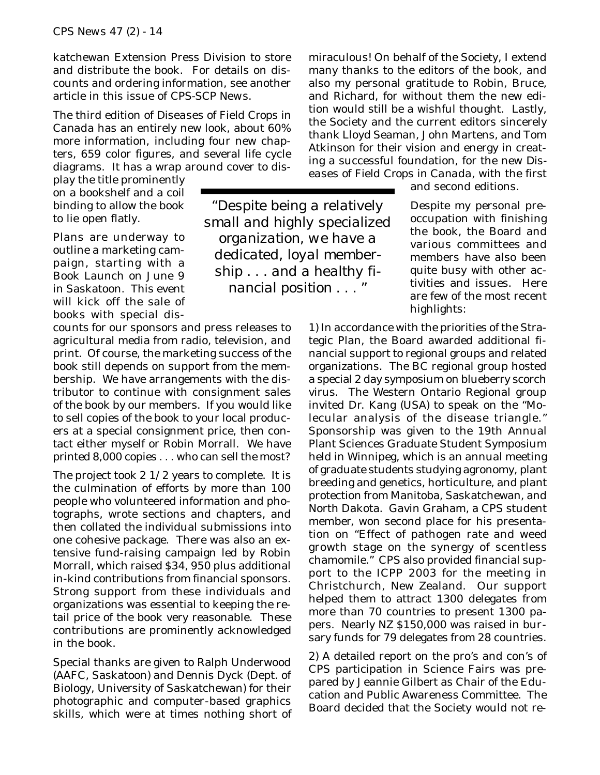katchewan Extension Press Division to store and distribute the book. For details on discounts and ordering information, see another article in this issue of *CPS-SCP News*.

The third edition of *Diseases of Field Crops in Canada* has an entirely new look, about 60% more information, including four new chapters, 659 color figures, and several life cycle diagrams. It has a wrap around cover to dis-

play the title prominently on a bookshelf and a coil binding to allow the book to lie open flatly.

Plans are underway to outline a marketing campaign, starting with a Book Launch on June 9 in Saskatoon. This event will kick off the sale of books with special dis-

counts for our sponsors and press releases to agricultural media from radio, television, and print. Of course, the marketing success of the book still depends on support from the membership. We have arrangements with the distributor to continue with consignment sales of the book by our members. If you would like to sell copies of the book to your local producers at a special consignment price, then contact either myself or Robin Morrall. We have printed 8,000 copies . . . who can sell the most?

The project took  $2 \frac{1}{2}$  years to complete. It is the culmination of efforts by more than 100 people who volunteered information and photographs, wrote sections and chapters, and then collated the individual submissions into one cohesive package. There was also an extensive fund-raising campaign led by Robin Morrall, which raised \$34, 950 plus additional in-kind contributions from financial sponsors. Strong support from these individuals and organizations was essential to keeping the retail price of the book very reasonable. These contributions are prominently acknowledged in the book.

Special thanks are given to Ralph Underwood (AAFC, Saskatoon) and Dennis Dyck (Dept. of Biology, University of Saskatchewan) for their photographic and computer-based graphics skills, which were at times nothing short of

*"Despite being a relatively small and highly specialized organization, we have a dedicated, loyal membership . . . and a healthy financial position . . . "*

miraculous! On behalf of the Society, I extend many thanks to the editors of the book, and also my personal gratitude to Robin, Bruce, and Richard, for without them the new edition would still be a wishful thought. Lastly, the Society and the current editors sincerely thank Lloyd Seaman, John Martens, and Tom Atkinson for their vision and energy in creating a successful foundation, for the new *Diseases of Field Crops in Canada,* with the first

and second editions.

Despite my personal preoccupation with finishing the book, the Board and various committees and members have also been quite busy with other activities and issues. Here are few of the most recent highlights:

1) In accordance with the priorities of the Strategic Plan, the Board awarded additional financial support to regional groups and related organizations. The BC regional group hosted a special 2 day symposium on blueberry scorch virus. The Western Ontario Regional group invited Dr. Kang (USA) to speak on the "Molecular analysis of the disease triangle." Sponsorship was given to the 19th Annual Plant Sciences Graduate Student Symposium held in Winnipeg, which is an annual meeting of graduate students studying agronomy, plant breeding and genetics, horticulture, and plant protection from Manitoba, Saskatchewan, and North Dakota. Gavin Graham, a CPS student member, won second place for his presentation on "Effect of pathogen rate and weed growth stage on the synergy of scentless chamomile." CPS also provided financial support to the ICPP 2003 for the meeting in Christchurch, New Zealand. Our support helped them to attract 1300 delegates from more than 70 countries to present 1300 papers. Nearly NZ \$150,000 was raised in bursary funds for 79 delegates from 28 countries.

2) A detailed report on the pro's and con's of CPS participation in Science Fairs was prepared by Jeannie Gilbert as Chair of the Education and Public Awareness Committee. The Board decided that the Society would not re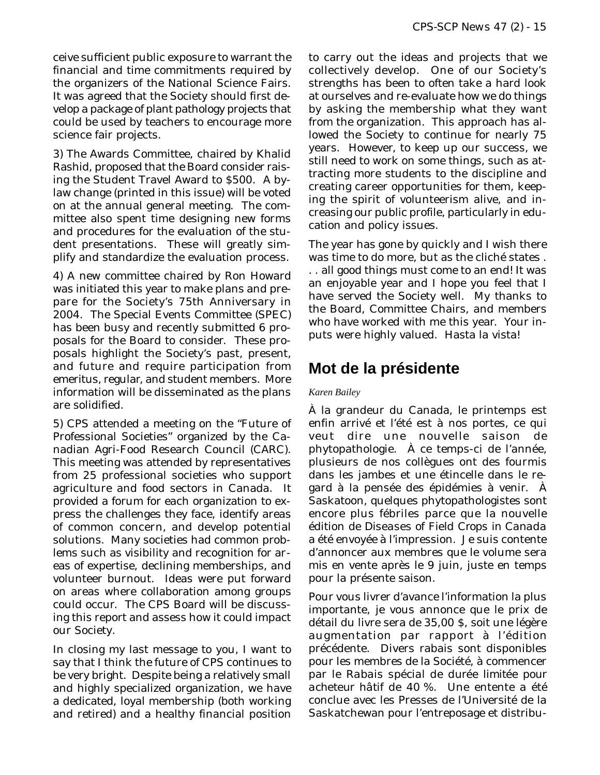ceive sufficient public exposure to warrant the financial and time commitments required by the organizers of the National Science Fairs. It was agreed that the Society should first develop a package of plant pathology projects that could be used by teachers to encourage more science fair projects.

3) The Awards Committee, chaired by Khalid Rashid, proposed that the Board consider raising the Student Travel Award to \$500. A bylaw change (printed in this issue) will be voted on at the annual general meeting. The committee also spent time designing new forms and procedures for the evaluation of the student presentations. These will greatly simplify and standardize the evaluation process.

4) A new committee chaired by Ron Howard was initiated this year to make plans and prepare for the Society's 75th Anniversary in 2004. The Special Events Committee (SPEC) has been busy and recently submitted 6 proposals for the Board to consider. These proposals highlight the Society's past, present, and future and require participation from emeritus, regular, and student members. More information will be disseminated as the plans are solidified.

5) CPS attended a meeting on the "Future of Professional Societies" organized by the Canadian Agri-Food Research Council (CARC). This meeting was attended by representatives from 25 professional societies who support agriculture and food sectors in Canada. It provided a forum for each organization to express the challenges they face, identify areas of common concern, and develop potential solutions. Many societies had common problems such as visibility and recognition for areas of expertise, declining memberships, and volunteer burnout. Ideas were put forward on areas where collaboration among groups could occur. The CPS Board will be discussing this report and assess how it could impact our Society.

In closing my last message to you, I want to say that I think the future of CPS continues to be very bright. Despite being a relatively small and highly specialized organization, we have a dedicated, loyal membership (both working and retired) and a healthy financial position

to carry out the ideas and projects that we collectively develop. One of our Society's strengths has been to often take a hard look at ourselves and re-evaluate how we do things by asking the membership what they want from the organization. This approach has allowed the Society to continue for nearly 75 years. However, to keep up our success, we still need to work on some things, such as attracting more students to the discipline and creating career opportunities for them, keeping the spirit of volunteerism alive, and increasing our public profile, particularly in education and policy issues.

The year has gone by quickly and I wish there was time to do more, but as the cliché states . . . all good things must come to an end! It was an enjoyable year and I hope you feel that I have served the Society well. My thanks to the Board, Committee Chairs, and members who have worked with me this year. Your inputs were highly valued. Hasta la vista!

### **Mot de la présidente**

#### *Karen Bailey*

À la grandeur du Canada, le printemps est enfin arrivé et l'été est à nos portes, ce qui veut dire une nouvelle saison de phytopathologie. À ce temps-ci de l'année, plusieurs de nos collègues ont des fourmis dans les jambes et une étincelle dans le regard à la pensée des épidémies à venir. À Saskatoon, quelques phytopathologistes sont encore plus fébriles parce que la nouvelle édition de *Diseases of Field Crops in Canada* a été envoyée à l'impression. Je suis contente d'annoncer aux membres que le volume sera mis en vente après le 9 juin, juste en temps pour la présente saison.

Pour vous livrer d'avance l'information la plus importante, je vous annonce que le prix de détail du livre sera de 35,00 \$, soit une légère augmentation par rapport à l'édition précédente. Divers rabais sont disponibles pour les membres de la Société, à commencer par le *Rabais spécial de durée limitée pour acheteur hâtif* de 40 %. Une entente a été conclue avec les Presses de l'Université de la Saskatchewan pour l'entreposage et distribu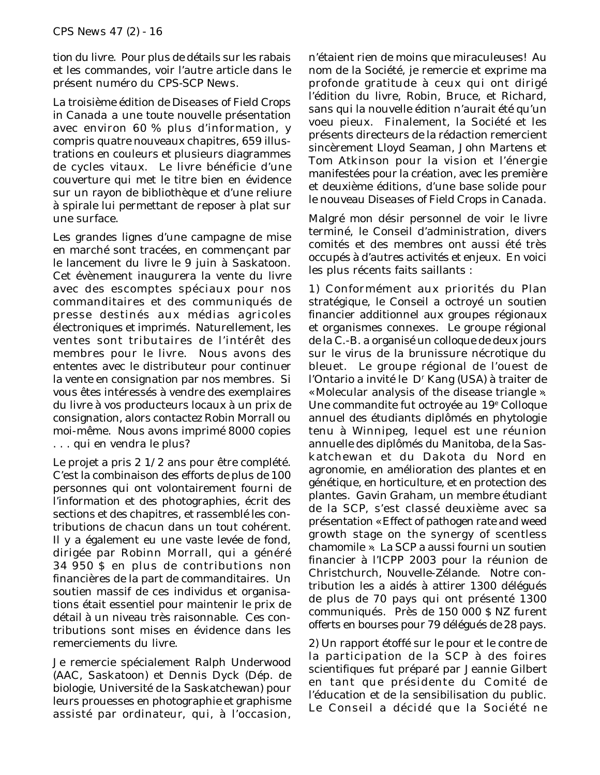tion du livre. Pour plus de détails sur les rabais et les commandes, voir l'autre article dans le présent numéro du *CPS-SCP News*.

La troisième édition de *Diseases of Field Crops in Canada* a une toute nouvelle présentation avec environ 60 % plus d'information, y compris quatre nouveaux chapitres, 659 illustrations en couleurs et plusieurs diagrammes de cycles vitaux. Le livre bénéficie d'une couverture qui met le titre bien en évidence sur un rayon de bibliothèque et d'une reliure à spirale lui permettant de reposer à plat sur une surface.

Les grandes lignes d'une campagne de mise en marché sont tracées, en commençant par le lancement du livre le 9 juin à Saskatoon. Cet évènement inaugurera la vente du livre avec des escomptes spéciaux pour nos commanditaires et des communiqués de presse destinés aux médias agricoles électroniques et imprimés. Naturellement, les ventes sont tributaires de l'intérêt des membres pour le livre. Nous avons des ententes avec le distributeur pour continuer la vente en consignation par nos membres. Si vous êtes intéressés à vendre des exemplaires du livre à vos producteurs locaux à un prix de consignation, alors contactez Robin Morrall ou moi-même. Nous avons imprimé 8000 copies . . . qui en vendra le plus?

Le projet a pris 2 1/2 ans pour être complété. C'est la combinaison des efforts de plus de 100 personnes qui ont volontairement fourni de l'information et des photographies, écrit des sections et des chapitres, et rassemblé les contributions de chacun dans un tout cohérent. Il y a également eu une vaste levée de fond, dirigée par Robinn Morrall, qui a généré 34 950 \$ en plus de contributions non financières de la part de commanditaires. Un soutien massif de ces individus et organisations était essentiel pour maintenir le prix de détail à un niveau très raisonnable. Ces contributions sont mises en évidence dans les remerciements du livre.

Je remercie spécialement Ralph Underwood (AAC, Saskatoon) et Dennis Dyck (Dép. de biologie, Université de la Saskatchewan) pour leurs prouesses en photographie et graphisme assisté par ordinateur, qui, à l'occasion,

n'étaient rien de moins que miraculeuses! Au nom de la Société, je remercie et exprime ma profonde gratitude à ceux qui ont dirigé l'édition du livre, Robin, Bruce, et Richard, sans qui la nouvelle édition n'aurait été qu'un voeu pieux. Finalement, la Société et les présents directeurs de la rédaction remercient sincèrement Lloyd Seaman, John Martens et Tom Atkinson pour la vision et l'énergie manifestées pour la création, avec les première et deuxième éditions, d'une base solide pour le nouveau *Diseases of Field Crops in Canada*.

Malgré mon désir personnel de voir le livre terminé, le Conseil d'administration, divers comités et des membres ont aussi été très occupés à d'autres activités et enjeux. En voici les plus récents faits saillants :

1) Conformément aux priorités du Plan stratégique, le Conseil a octroyé un soutien financier additionnel aux groupes régionaux et organismes connexes. Le groupe régional de la C.-B. a organisé un colloque de deux jours sur le virus de la brunissure nécrotique du bleuet. Le groupe régional de l'ouest de l'Ontario a invité le D<sup>r</sup> Kang (USA) à traiter de « Molecular analysis of the disease triangle ». Une commandite fut octroyée au 19<sup>e</sup> Colloque annuel des étudiants diplômés en phytologie tenu à Winnipeg, lequel est une réunion annuelle des diplômés du Manitoba, de la Saskatchewan et du Dakota du Nord en agronomie, en amélioration des plantes et en génétique, en horticulture, et en protection des plantes. Gavin Graham, un membre étudiant de la SCP, s'est classé deuxième avec sa présentation « Effect of pathogen rate and weed growth stage on the synergy of scentless chamomile ». La SCP a aussi fourni un soutien financier à l'ICPP 2003 pour la réunion de Christchurch, Nouvelle-Zélande. Notre contribution les a aidés à attirer 1300 délégués de plus de 70 pays qui ont présenté 1300 communiqués. Près de 150 000 \$ NZ furent offerts en bourses pour 79 délégués de 28 pays.

2) Un rapport étoffé sur le pour et le contre de la participation de la SCP à des foires scientifiques fut préparé par Jeannie Gilbert en tant que présidente du Comité de l'éducation et de la sensibilisation du public. Le Conseil a décidé que la Société ne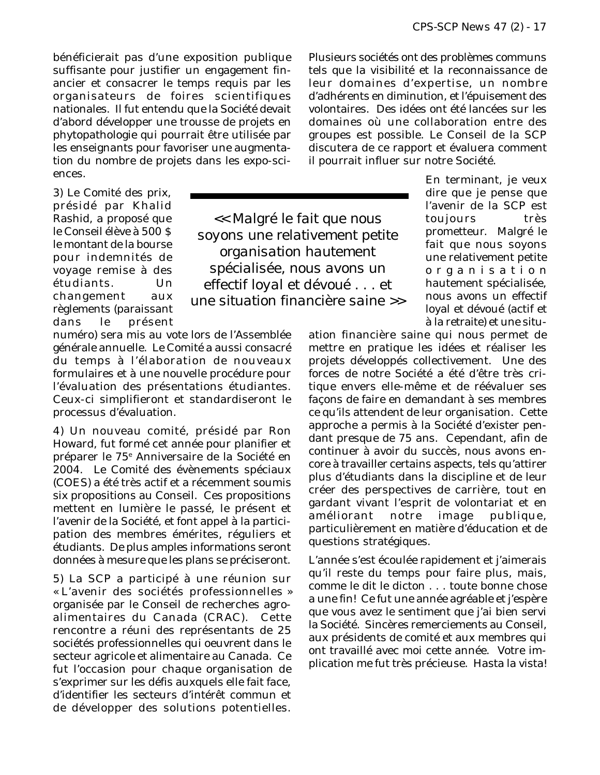bénéficierait pas d'une exposition publique suffisante pour justifier un engagement financier et consacrer le temps requis par les organisateurs de foires scientifiques nationales. Il fut entendu que la Société devait d'abord développer une trousse de projets en phytopathologie qui pourrait être utilisée par les enseignants pour favoriser une augmentation du nombre de projets dans les expo-sciences.

3) Le Comité des prix, présidé par Khalid Rashid, a proposé que le Conseil élève à 500 \$ le montant de la bourse pour indemnités de voyage remise à des étudiants. Un changement aux règlements (paraissant dans le présent

*<< Malgré le fait que nous soyons une relativement petite organisation hautement spécialisée, nous avons un effectif loyal et dévoué . . . et une situation financière saine >>*

numéro) sera mis au vote lors de l'Assemblée générale annuelle. Le Comité a aussi consacré du temps à l'élaboration de nouveaux formulaires et à une nouvelle procédure pour l'évaluation des présentations étudiantes. Ceux-ci simplifieront et standardiseront le processus d'évaluation.

4) Un nouveau comité, présidé par Ron Howard, fut formé cet année pour planifier et préparer le 75e Anniversaire de la Société en 2004. Le Comité des évènements spéciaux (COES) a été très actif et a récemment soumis six propositions au Conseil. Ces propositions mettent en lumière le passé, le présent et l'avenir de la Société, et font appel à la participation des membres émérites, réguliers et étudiants. De plus amples informations seront données à mesure que les plans se préciseront.

5) La SCP a participé à une réunion sur « L'avenir des sociétés professionnelles » organisée par le Conseil de recherches agroalimentaires du Canada (CRAC). Cette rencontre a réuni des représentants de 25 sociétés professionnelles qui oeuvrent dans le secteur agricole et alimentaire au Canada. Ce fut l'occasion pour chaque organisation de s'exprimer sur les défis auxquels elle fait face, d'identifier les secteurs d'intérêt commun et de développer des solutions potentielles.

Plusieurs sociétés ont des problèmes communs tels que la visibilité et la reconnaissance de leur domaines d'expertise, un nombre d'adhérents en diminution, et l'épuisement des volontaires. Des idées ont été lancées sur les domaines où une collaboration entre des groupes est possible. Le Conseil de la SCP discutera de ce rapport et évaluera comment il pourrait influer sur notre Société.

> En terminant, je veux dire que je pense que l'avenir de la SCP est toujours très prometteur. Malgré le fait que nous soyons une relativement petite organisation hautement spécialisée, nous avons un effectif loyal et dévoué (actif et à la retraite) et une situ-

ation financière saine qui nous permet de mettre en pratique les idées et réaliser les projets développés collectivement. Une des forces de notre Société a été d'être très critique envers elle-même et de réévaluer ses façons de faire en demandant à ses membres ce qu'ils attendent de leur organisation. Cette approche a permis à la Société d'exister pendant presque de 75 ans. Cependant, afin de continuer à avoir du succès, nous avons encore à travailler certains aspects, tels qu'attirer plus d'étudiants dans la discipline et de leur créer des perspectives de carrière, tout en gardant vivant l'esprit de volontariat et en améliorant notre image publique, particulièrement en matière d'éducation et de questions stratégiques.

L'année s'est écoulée rapidement et j'aimerais qu'il reste du temps pour faire plus, mais, comme le dit le dicton . . . toute bonne chose a une fin! Ce fut une année agréable et j'espère que vous avez le sentiment que j'ai bien servi la Société. Sincères remerciements au Conseil, aux présidents de comité et aux membres qui ont travaillé avec moi cette année. Votre implication me fut très précieuse. Hasta la vista!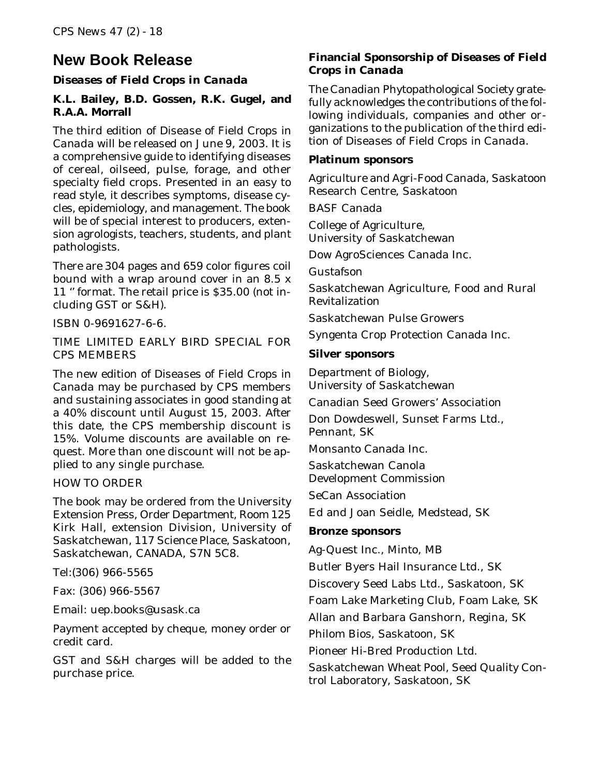### **New Book Release**

### *Diseases of Field Crops in Canada*

### **K.L. Bailey, B.D. Gossen, R.K. Gugel, and R.A.A. Morrall**

The third edition of *Disease of Field Crops in Canada* will be released on June 9, 2003. It is a comprehensive guide to identifying diseases of cereal, oilseed, pulse, forage, and other specialty field crops. Presented in an easy to read style, it describes symptoms, disease cycles, epidemiology, and management. The book will be of special interest to producers, extension agrologists, teachers, students, and plant pathologists.

There are 304 pages and 659 color figures coil bound with a wrap around cover in an 8.5 x 11 '' format. The retail price is \$35.00 (not including GST or S&H).

ISBN 0-9691627-6-6.

TIME LIMITED EARLY BIRD SPECIAL FOR CPS MEMBERS

The new edition of *Diseases of Field Crops in Canada* may be purchased by CPS members and sustaining associates in good standing at a 40% discount until August 15, 2003. After this date, the CPS membership discount is 15%. Volume discounts are available on request. More than one discount will not be applied to any single purchase.

#### HOW TO ORDER

The book may be ordered from the University Extension Press, Order Department, Room 125 Kirk Hall, extension Division, University of Saskatchewan, 117 Science Place, Saskatoon, Saskatchewan, CANADA, S7N 5C8.

Tel:(306) 966-5565

Fax: (306) 966-5567

Email: uep.books@usask.ca

Payment accepted by cheque, money order or credit card.

GST and S&H charges will be added to the purchase price.

### **Financial Sponsorship of** *Diseases of Field Crops in Canada*

The Canadian Phytopathological Society gratefully acknowledges the contributions of the following individuals, companies and other organizations to the publication of the third edition of *Diseases of Field Crops in Canada.*

#### **Platinum sponsors**

Agriculture and Agri-Food Canada, Saskatoon Research Centre, Saskatoon

BASF Canada

College of Agriculture, University of Saskatchewan

Dow AgroSciences Canada Inc.

Gustafson

Saskatchewan Agriculture, Food and Rural Revitalization

Saskatchewan Pulse Growers

Syngenta Crop Protection Canada Inc.

#### **Silver sponsors**

Department of Biology, University of Saskatchewan

Canadian Seed Growers' Association

Don Dowdeswell, Sunset Farms Ltd., Pennant, SK

Monsanto Canada Inc.

Saskatchewan Canola Development Commission

SeCan Association

Ed and Joan Seidle, Medstead, SK

#### **Bronze sponsors**

Ag-Quest Inc., Minto, MB

Butler Byers Hail Insurance Ltd., SK

Discovery Seed Labs Ltd., Saskatoon, SK

Foam Lake Marketing Club, Foam Lake, SK

Allan and Barbara Ganshorn, Regina, SK

Philom Bios, Saskatoon, SK

Pioneer Hi-Bred Production Ltd.

Saskatchewan Wheat Pool, Seed Quality Control Laboratory, Saskatoon, SK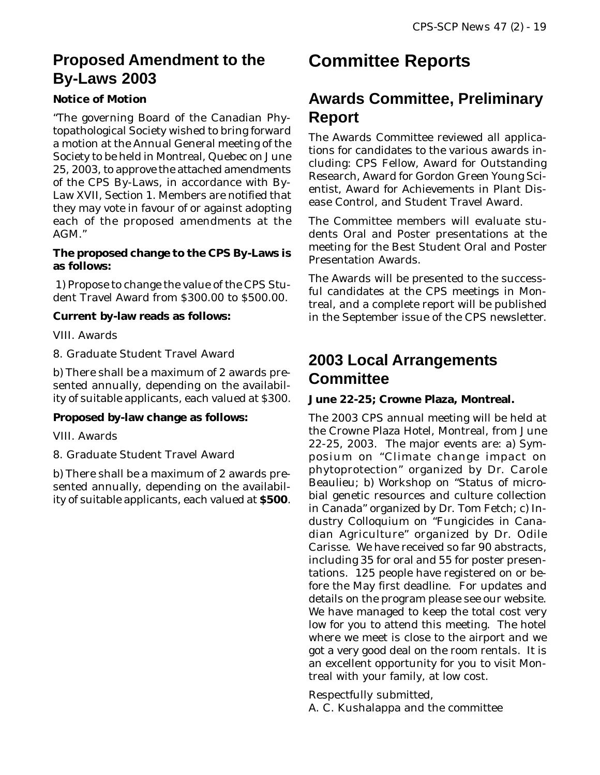### **Proposed Amendment to the By-Laws 2003**

### **Notice of Motion**

"The governing Board of the Canadian Phytopathological Society wished to bring forward a motion at the Annual General meeting of the Society to be held in Montreal, Quebec on June 25, 2003, to approve the attached amendments of the CPS By-Laws, in accordance with By-Law XVII, Section 1. Members are notified that they may vote in favour of or against adopting each of the proposed amendments at the AGM."

#### **The proposed change to the CPS By-Laws is as follows:**

 1) Propose to change the value of the CPS Student Travel Award from \$300.00 to \$500.00.

### **Current by-law reads as follows:**

VIII. Awards

8. Graduate Student Travel Award

b) There shall be a maximum of 2 awards presented annually, depending on the availability of suitable applicants, each valued at \$300.

#### **Proposed by-law change as follows:**

VIII. Awards

8. Graduate Student Travel Award

b) There shall be a maximum of 2 awards presented annually, depending on the availability of suitable applicants, each valued at **\$500**.

## **Committee Reports**

### **Awards Committee, Preliminary Report**

The Awards Committee reviewed all applications for candidates to the various awards including: CPS Fellow, Award for Outstanding Research, Award for Gordon Green Young Scientist, Award for Achievements in Plant Disease Control, and Student Travel Award.

The Committee members will evaluate students Oral and Poster presentations at the meeting for the Best Student Oral and Poster Presentation Awards.

The Awards will be presented to the successful candidates at the CPS meetings in Montreal, and a complete report will be published in the September issue of the CPS newsletter.

### **2003 Local Arrangements Committee**

#### **June 22-25; Crowne Plaza, Montreal.**

The 2003 CPS annual meeting will be held at the Crowne Plaza Hotel, Montreal, from June 22-25, 2003. The major events are: a) Symposium on "Climate change impact on phytoprotection" organized by Dr. Carole Beaulieu; b) Workshop on "Status of microbial genetic resources and culture collection in Canada" organized by Dr. Tom Fetch; c) Industry Colloquium on "Fungicides in Canadian Agriculture" organized by Dr. Odile Carisse. We have received so far 90 abstracts, including 35 for oral and 55 for poster presentations. 125 people have registered on or before the May first deadline. For updates and details on the program please see our website. We have managed to keep the total cost very low for you to attend this meeting. The hotel where we meet is close to the airport and we got a very good deal on the room rentals. It is an excellent opportunity for you to visit Montreal with your family, at low cost.

Respectfully submitted,

A. C. Kushalappa and the committee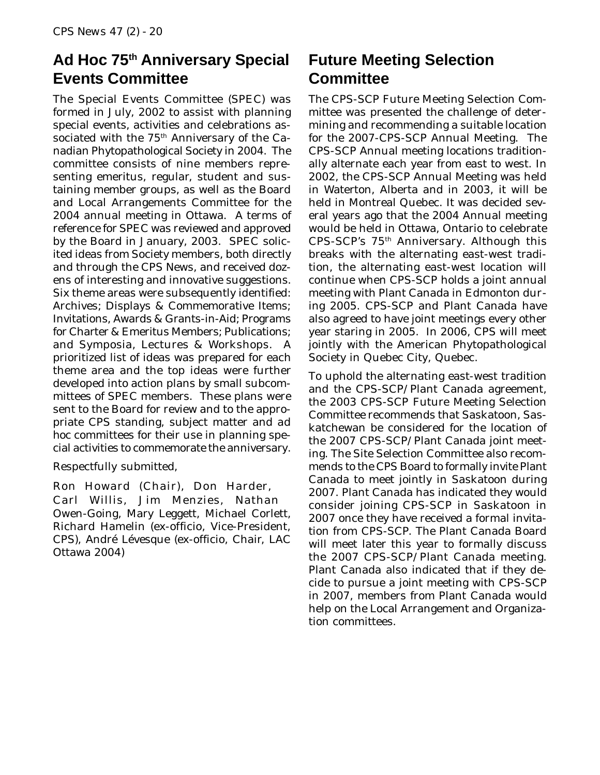### **Ad Hoc 75th Anniversary Special Events Committee**

The Special Events Committee (SPEC) was formed in July, 2002 to assist with planning special events, activities and celebrations associated with the 75<sup>th</sup> Anniversary of the Canadian Phytopathological Society in 2004. The committee consists of nine members representing emeritus, regular, student and sustaining member groups, as well as the Board and Local Arrangements Committee for the 2004 annual meeting in Ottawa. A terms of reference for SPEC was reviewed and approved by the Board in January, 2003. SPEC solicited ideas from Society members, both directly and through the CPS News, and received dozens of interesting and innovative suggestions. Six theme areas were subsequently identified: Archives; Displays & Commemorative Items; Invitations, Awards & Grants-in-Aid; Programs for Charter & Emeritus Members; Publications; and Symposia, Lectures & Workshops. A prioritized list of ideas was prepared for each theme area and the top ideas were further developed into action plans by small subcommittees of SPEC members. These plans were sent to the Board for review and to the appropriate CPS standing, subject matter and *ad hoc* committees for their use in planning special activities to commemorate the anniversary.

Respectfully submitted,

Ron Howard (Chair), Don Harder, Carl Willis, Jim Menzies, Nathan Owen-Going, Mary Leggett, Michael Corlett, Richard Hamelin (ex-officio, Vice-President, CPS), André Lévesque (ex-officio, Chair, LAC Ottawa 2004)

### **Future Meeting Selection Committee**

The CPS-SCP Future Meeting Selection Committee was presented the challenge of determining and recommending a suitable location for the 2007-CPS-SCP Annual Meeting. The CPS-SCP Annual meeting locations traditionally alternate each year from east to west. In 2002, the CPS-SCP Annual Meeting was held in Waterton, Alberta and in 2003, it will be held in Montreal Quebec. It was decided several years ago that the 2004 Annual meeting would be held in Ottawa, Ontario to celebrate CPS-SCP's 75th Anniversary. Although this breaks with the alternating east-west tradition, the alternating east-west location will continue when CPS-SCP holds a joint annual meeting with Plant Canada in Edmonton during 2005. CPS-SCP and Plant Canada have also agreed to have joint meetings every other year staring in 2005. In 2006, CPS will meet jointly with the American Phytopathological Society in Quebec City, Quebec.

To uphold the alternating east-west tradition and the CPS-SCP/Plant Canada agreement, the 2003 CPS-SCP Future Meeting Selection Committee recommends that Saskatoon, Saskatchewan be considered for the location of the 2007 CPS-SCP/Plant Canada joint meeting. The Site Selection Committee also recommends to the CPS Board to formally invite Plant Canada to meet jointly in Saskatoon during 2007. Plant Canada has indicated they would consider joining CPS-SCP in Saskatoon in 2007 once they have received a formal invitation from CPS-SCP. The Plant Canada Board will meet later this year to formally discuss the 2007 CPS-SCP/Plant Canada meeting. Plant Canada also indicated that if they decide to pursue a joint meeting with CPS-SCP in 2007, members from Plant Canada would help on the Local Arrangement and Organization committees.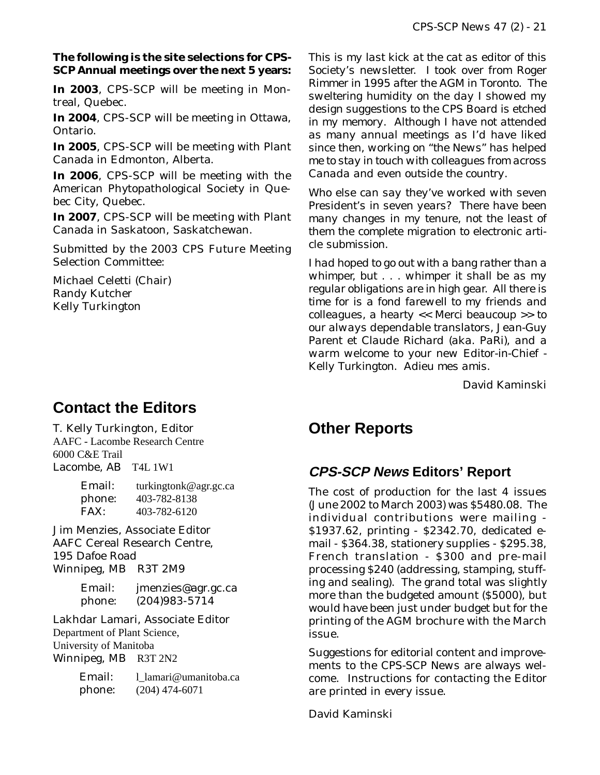#### **The following is the site selections for CPS-SCP Annual meetings over the next 5 years:**

**In 2003**, CPS-SCP will be meeting in Montreal, Quebec.

**In 2004**, CPS-SCP will be meeting in Ottawa, Ontario.

**In 2005**, CPS-SCP will be meeting with Plant Canada in Edmonton, Alberta.

**In 2006**, CPS-SCP will be meeting with the American Phytopathological Society in Quebec City, Quebec.

**In 2007**, CPS-SCP will be meeting with Plant Canada in Saskatoon, Saskatchewan.

Submitted by the 2003 CPS Future Meeting Selection Committee:

Michael Celetti (Chair) Randy Kutcher Kelly Turkington

### **Contact the Editors**

T. Kelly Turkington, Editor AAFC - Lacombe Research Centre 6000 C&E Trail Lacombe, AB T4L 1W1

> Email: turkingtonk@agr.gc.ca phone: 403-782-8138<br>FAX: 403-782-6120 FAX: 403-782-6120

Jim Menzies, Associate Editor AAFC Cereal Research Centre, 195 Dafoe Road Winnipeg, MB R3T 2M9

> Email: jmenzies@agr.gc.ca phone: (204)983-5714

Lakhdar Lamari, Associate Editor Department of Plant Science, University of Manitoba Winnipeg, MB R3T 2N2

> Email: l lamari@umanitoba.ca phone: (204) 474-6071

*This is my last kick at the cat as editor of this Society's newsletter. I took over from Roger Rimmer in 1995 after the AGM in Toronto. The sweltering humidity on the day I showed my design suggestions to the CPS Board is etched in my memory. Although I have not attended as many annual meetings as I'd have liked since then, working on "the News" has helped me to stay in touch with colleagues from across Canada and even outside the country.*

*Who else can say they've worked with seven President's in seven years? There have been many changes in my tenure, not the least of them the complete migration to electronic article submission.*

*I had hoped to go out with a bang rather than a whimper, but . . . whimper it shall be as my regular obligations are in high gear. All there is time for is a fond farewell to my friends and colleagues, a hearty << Merci beaucoup >> to our always dependable translators, Jean-Guy Parent et Claude Richard (aka. PaRi), and a warm welcome to your new Editor-in-Chief - Kelly Turkington. Adieu mes amis.*

David Kaminski

### **Other Reports**

### **CPS-SCP News Editors' Report**

The cost of production for the last 4 issues (June 2002 to March 2003) was \$5480.08. The individual contributions were mailing - \$1937.62, printing - \$2342.70, dedicated email - \$364.38, stationery supplies - \$295.38, French translation - \$300 and pre-mail processing \$240 (addressing, stamping, stuffing and sealing). The grand total was slightly more than the budgeted amount (\$5000), but would have been just under budget but for the printing of the AGM brochure with the March issue.

Suggestions for editorial content and improvements to the *CPS-SCP News* are always welcome. Instructions for contacting the Editor are printed in every issue.

David Kaminski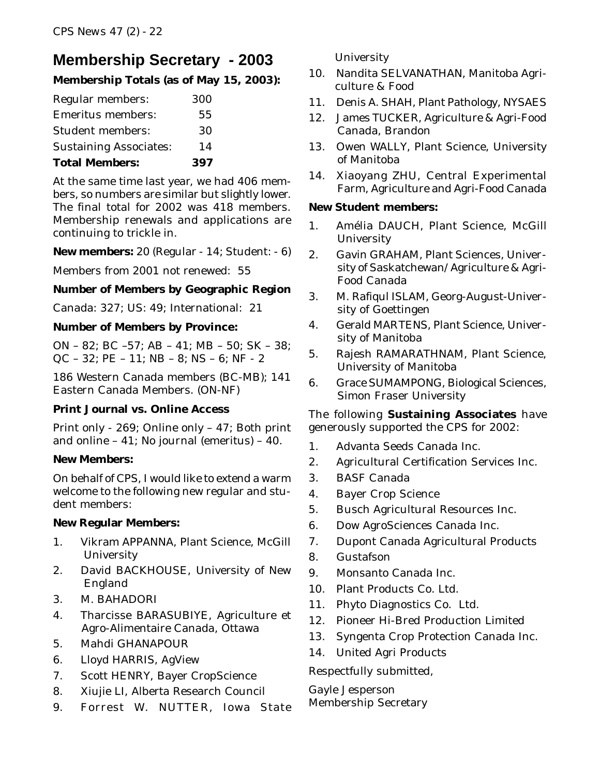### **Membership Secretary - 2003**

### **Membership Totals (as of May 15, 2003):**

| Regular members:              | 300 |  |
|-------------------------------|-----|--|
| <b>Emeritus members:</b>      | 55  |  |
| <b>Student members:</b>       | 30  |  |
| <b>Sustaining Associates:</b> | 14  |  |
| <b>Total Members:</b>         | 397 |  |

At the same time last year, we had 406 members, so numbers are similar but slightly lower. The final total for 2002 was 418 members. Membership renewals and applications are continuing to trickle in.

#### **New members:** 20 (Regular - 14; Student: - 6)

Members from 2001 not renewed: 55

#### **Number of Members by Geographic Region**

Canada: 327; US: 49; International: 21

#### **Number of Members by Province:**

ON – 82; BC –57; AB – 41; MB – 50; SK – 38; QC – 32; PE – 11; NB – 8; NS – 6; NF - 2

186 Western Canada members (BC-MB); 141 Eastern Canada Members. (ON-NF)

### **Print Journal vs. Online Access**

Print only - 269; Online only – 47; Both print and online – 41; No journal (emeritus) – 40.

### **New Members:**

On behalf of CPS, I would like to extend a warm welcome to the following new regular and student members:

#### **New Regular Members:**

- 1. Vikram APPANNA, Plant Science, McGill **University**
- 2. David BACKHOUSE, University of New England
- 3. M. BAHADORI
- 4. Tharcisse BARASUBIYE, Agriculture et Agro-Alimentaire Canada, Ottawa
- 5. Mahdi GHANAPOUR
- 6. Lloyd HARRIS, AgView
- 7. Scott HENRY, Bayer CropScience
- 8. Xiujie LI, Alberta Research Council
- 9. Forrest W. NUTTER, Iowa State

University

- 10. Nandita SELVANATHAN, Manitoba Agriculture & Food
- 11. Denis A. SHAH, Plant Pathology, NYSAES
- 12. James TUCKER, Agriculture & Agri-Food Canada, Brandon
- 13. Owen WALLY, Plant Science, University of Manitoba
- 14. Xiaoyang ZHU, Central Experimental Farm, Agriculture and Agri-Food Canada

#### **New Student members:**

- 1. Amélia DAUCH, Plant Science, McGill **University**
- 2. Gavin GRAHAM, Plant Sciences, University of Saskatchewan/Agriculture & Agri-Food Canada
- 3. M. Rafiqul ISLAM, Georg-August-University of Goettingen
- 4. Gerald MARTENS, Plant Science, University of Manitoba
- 5. Rajesh RAMARATHNAM, Plant Science, University of Manitoba
- 6. Grace SUMAMPONG, Biological Sciences, Simon Fraser University

The following **Sustaining Associates** have generously supported the CPS for 2002:

- 1. Advanta Seeds Canada Inc.
- 2. Agricultural Certification Services Inc.
- 3. BASF Canada
- 4. Bayer Crop Science
- 5. Busch Agricultural Resources Inc.
- 6. Dow AgroSciences Canada Inc.
- 7. Dupont Canada Agricultural Products
- 8. Gustafson
- 9. Monsanto Canada Inc.
- 10. Plant Products Co. Ltd.
- 11. Phyto Diagnostics Co. Ltd.
- 12. Pioneer Hi-Bred Production Limited
- 13. Syngenta Crop Protection Canada Inc.
- 14. United Agri Products

Respectfully submitted,

Gayle Jesperson Membership Secretary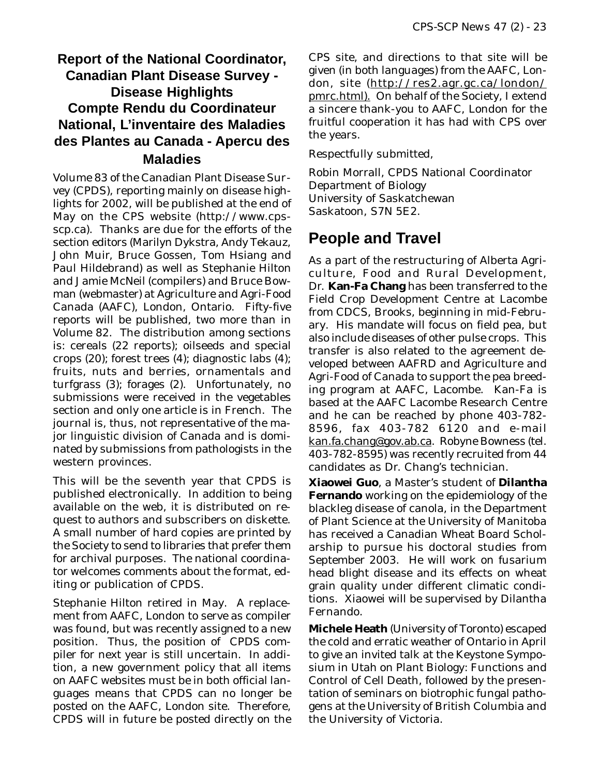### **Report of the National Coordinator, Canadian Plant Disease Survey - Disease Highlights Compte Rendu du Coordinateur National, L'inventaire des Maladies des Plantes au Canada - Apercu des Maladies**

Volume 83 of the Canadian Plant Disease Survey (CPDS), reporting mainly on disease highlights for 2002, will be published at the end of May on the CPS website (http://www.cpsscp.ca). Thanks are due for the efforts of the section editors (Marilyn Dykstra, Andy Tekauz, John Muir, Bruce Gossen, Tom Hsiang and Paul Hildebrand) as well as Stephanie Hilton and Jamie McNeil (compilers) and Bruce Bowman (webmaster) at Agriculture and Agri-Food Canada (AAFC), London, Ontario. Fifty-five reports will be published, two more than in Volume 82. The distribution among sections is: cereals (22 reports); oilseeds and special crops (20); forest trees (4); diagnostic labs (4); fruits, nuts and berries, ornamentals and turfgrass (3); forages (2). Unfortunately, no submissions were received in the vegetables section and only one article is in French. The journal is, thus, not representative of the major linguistic division of Canada and is dominated by submissions from pathologists in the western provinces.

This will be the seventh year that CPDS is published electronically. In addition to being available on the web, it is distributed on request to authors and subscribers on diskette. A small number of hard copies are printed by the Society to send to libraries that prefer them for archival purposes. The national coordinator welcomes comments about the format, editing or publication of CPDS.

Stephanie Hilton retired in May. A replacement from AAFC, London to serve as compiler was found, but was recently assigned to a new position. Thus, the position of CPDS compiler for next year is still uncertain. In addition, a new government policy that all items on AAFC websites must be in both official languages means that CPDS can no longer be posted on the AAFC, London site. Therefore, CPDS will in future be posted directly on the

CPS site, and directions to that site will be given (in both languages) from the AAFC, London, site (http://res2.agr.gc.ca/london/ pmrc.html). On behalf of the Society, I extend a sincere thank-you to AAFC, London for the fruitful cooperation it has had with CPS over the years.

Respectfully submitted,

Robin Morrall, CPDS National Coordinator Department of Biology University of Saskatchewan Saskatoon, S7N 5E2.

### **People and Travel**

As a part of the restructuring of Alberta Agriculture, Food and Rural Development, Dr. **Kan-Fa Chang** has been transferred to the Field Crop Development Centre at Lacombe from CDCS, Brooks, beginning in mid-February. His mandate will focus on field pea, but also include diseases of other pulse crops. This transfer is also related to the agreement developed between AAFRD and Agriculture and Agri-Food of Canada to support the pea breeding program at AAFC, Lacombe. Kan-Fa is based at the AAFC Lacombe Research Centre and he can be reached by phone 403-782- 8596, fax 403-782 6120 and e-mail kan.fa.chang@gov.ab.ca. Robyne Bowness (tel. 403-782-8595) was recently recruited from 44 candidates as Dr. Chang's technician.

**Xiaowei Guo**, a Master's student of **Dilantha Fernando** working on the epidemiology of the blackleg disease of canola, in the Department of Plant Science at the University of Manitoba has received a Canadian Wheat Board Scholarship to pursue his doctoral studies from September 2003. He will work on fusarium head blight disease and its effects on wheat grain quality under different climatic conditions. Xiaowei will be supervised by Dilantha Fernando.

**Michele Heath** (University of Toronto) escaped the cold and erratic weather of Ontario in April to give an invited talk at the Keystone Symposium in Utah on Plant Biology: Functions and Control of Cell Death, followed by the presentation of seminars on biotrophic fungal pathogens at the University of British Columbia and the University of Victoria.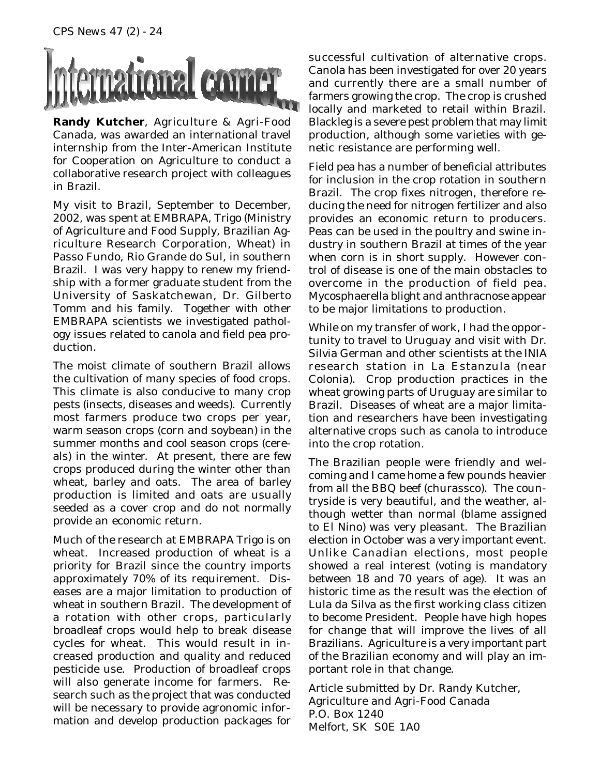

**Randy Kutcher**, Agriculture & Agri-Food Canada, was awarded an international travel internship from the Inter-American Institute for Cooperation on Agriculture to conduct a collaborative research project with colleagues in Brazil.

My visit to Brazil, September to December, 2002, was spent at EMBRAPA, Trigo (Ministry of Agriculture and Food Supply, Brazilian Agriculture Research Corporation, Wheat) in Passo Fundo, Rio Grande do Sul, in southern Brazil. I was very happy to renew my friendship with a former graduate student from the University of Saskatchewan, Dr. Gilberto Tomm and his family. Together with other EMBRAPA scientists we investigated pathology issues related to canola and field pea production.

The moist climate of southern Brazil allows the cultivation of many species of food crops. This climate is also conducive to many crop pests (insects, diseases and weeds). Currently most farmers produce two crops per year, warm season crops (corn and soybean) in the summer months and cool season crops (cereals) in the winter. At present, there are few crops produced during the winter other than wheat, barley and oats. The area of barley production is limited and oats are usually seeded as a cover crop and do not normally provide an economic return.

Much of the research at EMBRAPA Trigo is on wheat. Increased production of wheat is a priority for Brazil since the country imports approximately 70% of its requirement. Diseases are a major limitation to production of wheat in southern Brazil. The development of a rotation with other crops, particularly broadleaf crops would help to break disease cycles for wheat. This would result in increased production and quality and reduced pesticide use. Production of broadleaf crops will also generate income for farmers. Research such as the project that was conducted will be necessary to provide agronomic information and develop production packages for

successful cultivation of alternative crops. Canola has been investigated for over 20 years and currently there are a small number of farmers growing the crop. The crop is crushed locally and marketed to retail within Brazil. Blackleg is a severe pest problem that may limit production, although some varieties with genetic resistance are performing well.

Field pea has a number of beneficial attributes for inclusion in the crop rotation in southern Brazil. The crop fixes nitrogen, therefore reducing the need for nitrogen fertilizer and also provides an economic return to producers. Peas can be used in the poultry and swine industry in southern Brazil at times of the year when corn is in short supply. However control of disease is one of the main obstacles to overcome in the production of field pea. Mycosphaerella blight and anthracnose appear to be major limitations to production.

While on my transfer of work, I had the opportunity to travel to Uruguay and visit with Dr. Silvia German and other scientists at the INIA research station in La Estanzula (near Colonia). Crop production practices in the wheat growing parts of Uruguay are similar to Brazil. Diseases of wheat are a major limitation and researchers have been investigating alternative crops such as canola to introduce into the crop rotation.

The Brazilian people were friendly and welcoming and I came home a few pounds heavier from all the BBQ beef (churassco). The countryside is very beautiful, and the weather, although wetter than normal (blame assigned to El Nino) was very pleasant. The Brazilian election in October was a very important event. Unlike Canadian elections, most people showed a real interest (voting is mandatory between 18 and 70 years of age). It was an historic time as the result was the election of Lula da Silva as the first working class citizen to become President. People have high hopes for change that will improve the lives of all Brazilians. Agriculture is a very important part of the Brazilian economy and will play an important role in that change.

Article submitted by Dr. Randy Kutcher, Agriculture and Agri-Food Canada P.O. Box 1240 Melfort, SK S0E 1A0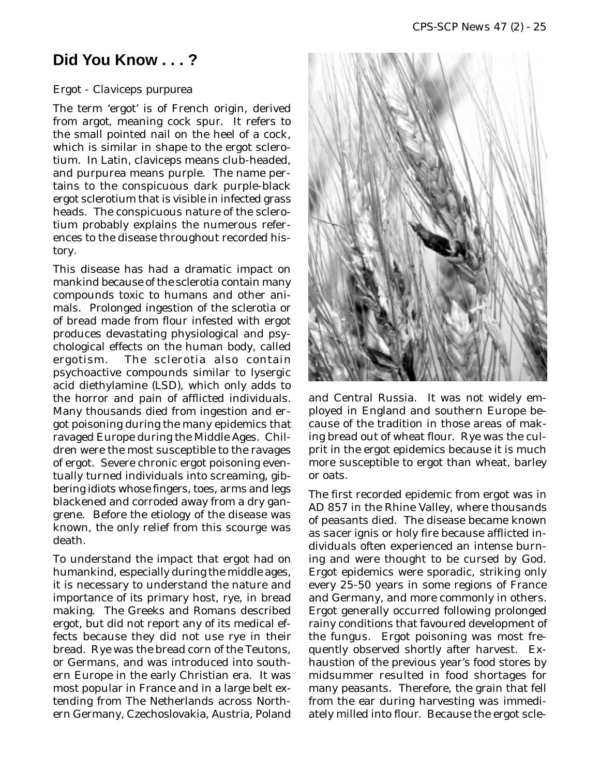### **Did You Know . . . ?**

#### Ergot - *Claviceps purpurea*

The term 'ergot' is of French origin, derived from *argot*, meaning cock spur. It refers to the small pointed nail on the heel of a cock, which is similar in shape to the ergot sclerotium. In Latin, claviceps means club-headed, and purpurea means purple. The name pertains to the conspicuous dark purple-black ergot sclerotium that is visible in infected grass heads. The conspicuous nature of the sclerotium probably explains the numerous references to the disease throughout recorded history.

This disease has had a dramatic impact on mankind because of the sclerotia contain many compounds toxic to humans and other animals. Prolonged ingestion of the sclerotia or of bread made from flour infested with ergot produces devastating physiological and psychological effects on the human body, called ergotism. The sclerotia also contain psychoactive compounds similar to lysergic acid diethylamine (LSD), which only adds to the horror and pain of afflicted individuals. Many thousands died from ingestion and ergot poisoning during the many epidemics that ravaged Europe during the Middle Ages. Children were the most susceptible to the ravages of ergot. Severe chronic ergot poisoning eventually turned individuals into screaming, gibbering idiots whose fingers, toes, arms and legs blackened and corroded away from a dry gangrene. Before the etiology of the disease was known, the only relief from this scourge was death.

To understand the impact that ergot had on humankind, especially during the middle ages, it is necessary to understand the nature and importance of its primary host, rye, in bread making. The Greeks and Romans described ergot, but did not report any of its medical effects because they did not use rye in their bread. Rye was the bread corn of the Teutons, or Germans, and was introduced into southern Europe in the early Christian era. It was most popular in France and in a large belt extending from The Netherlands across Northern Germany, Czechoslovakia, Austria, Poland



and Central Russia. It was not widely employed in England and southern Europe because of the tradition in those areas of making bread out of wheat flour. Rye was the culprit in the ergot epidemics because it is much more susceptible to ergot than wheat, barley or oats.

The first recorded epidemic from ergot was in AD 857 in the Rhine Valley, where thousands of peasants died. The disease became known as *sacer ignis* or holy fire because afflicted individuals often experienced an intense burning and were thought to be cursed by God. Ergot epidemics were sporadic, striking only every 25-50 years in some regions of France and Germany, and more commonly in others. Ergot generally occurred following prolonged rainy conditions that favoured development of the fungus. Ergot poisoning was most frequently observed shortly after harvest. Exhaustion of the previous year's food stores by midsummer resulted in food shortages for many peasants. Therefore, the grain that fell from the ear during harvesting was immediately milled into flour. Because the ergot scle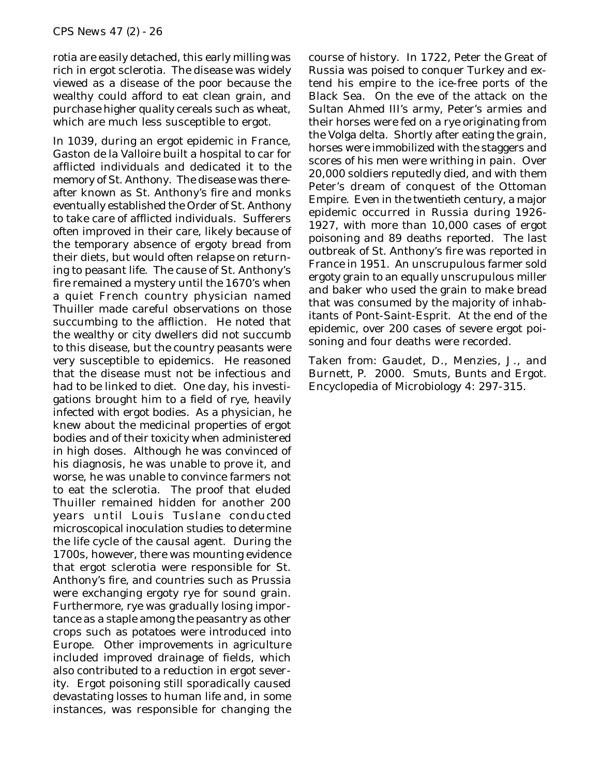rotia are easily detached, this early milling was rich in ergot sclerotia. The disease was widely viewed as a disease of the poor because the wealthy could afford to eat clean grain, and purchase higher quality cereals such as wheat, which are much less susceptible to ergot.

In 1039, during an ergot epidemic in France, Gaston de la Valloire built a hospital to car for afflicted individuals and dedicated it to the memory of St. Anthony. The disease was thereafter known as St. Anthony's fire and monks eventually established the Order of St. Anthony to take care of afflicted individuals. Sufferers often improved in their care, likely because of the temporary absence of ergoty bread from their diets, but would often relapse on returning to peasant life. The cause of St. Anthony's fire remained a mystery until the 1670's when a quiet French country physician named Thuiller made careful observations on those succumbing to the affliction. He noted that the wealthy or city dwellers did not succumb to this disease, but the country peasants were very susceptible to epidemics. He reasoned that the disease must not be infectious and had to be linked to diet. One day, his investigations brought him to a field of rye, heavily infected with ergot bodies. As a physician, he knew about the medicinal properties of ergot bodies and of their toxicity when administered in high doses. Although he was convinced of his diagnosis, he was unable to prove it, and worse, he was unable to convince farmers not to eat the sclerotia. The proof that eluded Thuiller remained hidden for another 200 years until Louis Tuslane conducted microscopical inoculation studies to determine the life cycle of the causal agent. During the 1700s, however, there was mounting evidence that ergot sclerotia were responsible for St. Anthony's fire, and countries such as Prussia were exchanging ergoty rye for sound grain. Furthermore, rye was gradually losing importance as a staple among the peasantry as other crops such as potatoes were introduced into Europe. Other improvements in agriculture included improved drainage of fields, which also contributed to a reduction in ergot severity. Ergot poisoning still sporadically caused devastating losses to human life and, in some instances, was responsible for changing the

course of history. In 1722, Peter the Great of Russia was poised to conquer Turkey and extend his empire to the ice-free ports of the Black Sea. On the eve of the attack on the Sultan Ahmed III's army, Peter's armies and their horses were fed on a rye originating from the Volga delta. Shortly after eating the grain, horses were immobilized with the staggers and scores of his men were writhing in pain. Over 20,000 soldiers reputedly died, and with them Peter's dream of conquest of the Ottoman Empire. Even in the twentieth century, a major epidemic occurred in Russia during 1926- 1927, with more than 10,000 cases of ergot poisoning and 89 deaths reported. The last outbreak of St. Anthony's fire was reported in France in 1951. An unscrupulous farmer sold ergoty grain to an equally unscrupulous miller and baker who used the grain to make bread that was consumed by the majority of inhabitants of Pont-Saint-Esprit. At the end of the epidemic, over 200 cases of severe ergot poisoning and four deaths were recorded.

Taken from: Gaudet, D., Menzies, J., and Burnett, P. 2000. Smuts, Bunts and Ergot. Encyclopedia of Microbiology 4: 297-315.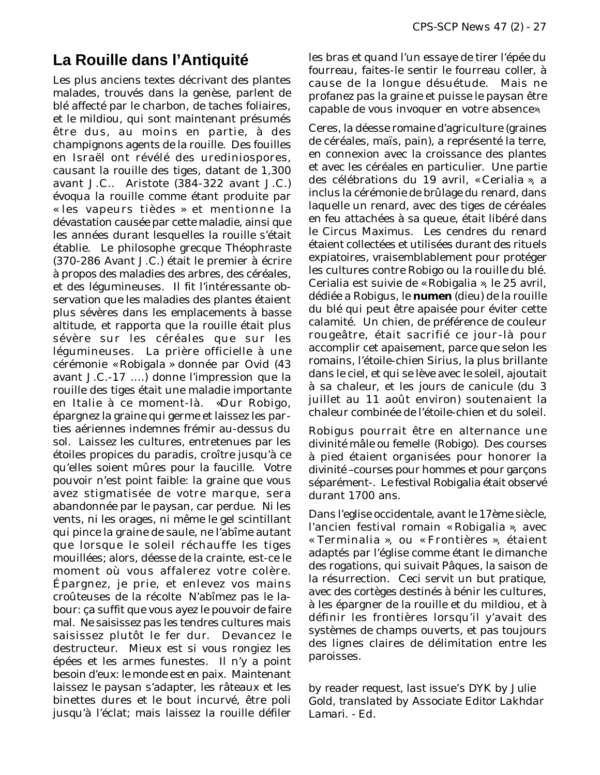### **La Rouille dans l'Antiquité**

Les plus anciens textes décrivant des plantes malades, trouvés dans la genèse, parlent de blé affecté par le charbon, de taches foliaires, et le mildiou, qui sont maintenant présumés être dus, au moins en partie, à des champignons agents de la rouille. Des fouilles en Israël ont révélé des urediniospores, causant la rouille des tiges, datant de 1,300 avant J.C.. Aristote (384-322 avant J.C.) évoqua la rouille comme étant produite par « les vapeurs tièdes » et mentionne la dévastation causée par cette maladie, ainsi que les années durant lesquelles la rouille s'était établie. Le philosophe grecque Théophraste (370-286 Avant J.C.) était le premier à écrire à propos des maladies des arbres, des céréales, et des légumineuses. Il fit l'intéressante observation que les maladies des plantes étaient plus sévères dans les emplacements à basse altitude, et rapporta que la rouille était plus sévère sur les céréales que sur les légumineuses. La prière officielle à une cérémonie « Robigala » donnée par Ovid (43 avant J.C.-17 ….) donne l'impression que la rouille des tiges était une maladie importante en Italie à ce moment-là. «Dur Robigo, épargnez la graine qui germe et laissez les parties aériennes indemnes frémir au-dessus du sol. Laissez les cultures, entretenues par les étoiles propices du paradis, croître jusqu'à ce qu'elles soient mûres pour la faucille. Votre pouvoir n'est point faible: la graine que vous avez stigmatisée de votre marque, sera abandonnée par le paysan, car perdue. Ni les vents, ni les orages, ni même le gel scintillant qui pince la graine de saule, ne l'abîme autant que lorsque le soleil réchauffe les tiges mouillées; alors, déesse de la crainte, est-ce le moment où vous affalerez votre colère. Épargnez, je prie, et enlevez vos mains croûteuses de la récolte N'abîmez pas le labour: ça suffit que vous ayez le pouvoir de faire mal. Ne saisissez pas les tendres cultures mais saisissez plutôt le fer dur. Devancez le destructeur. Mieux est si vous rongiez les épées et les armes funestes. Il n'y a point besoin d'eux: le monde est en paix. Maintenant laissez le paysan s'adapter, les râteaux et les binettes dures et le bout incurvé, être poli jusqu'à l'éclat; mais laissez la rouille défiler

les bras et quand l'un essaye de tirer l'épée du fourreau, faites-le sentir le fourreau coller, à cause de la longue désuétude. Mais ne profanez pas la graine et puisse le paysan être capable de vous invoquer en votre absence».

Ceres, la déesse romaine d'agriculture (graines de céréales, maïs, pain), a représenté la terre, en connexion avec la croissance des plantes et avec les céréales en particulier. Une partie des célébrations du 19 avril, « Cerialia », a inclus la cérémonie de brûlage du renard, dans laquelle un renard, avec des tiges de céréales en feu attachées à sa queue, était libéré dans le Circus Maximus. Les cendres du renard étaient collectées et utilisées durant des rituels expiatoires, vraisemblablement pour protéger les cultures contre Robigo ou la rouille du blé. Cerialia est suivie de « Robigalia », le 25 avril, dédiée a Robigus, le **numen** (dieu) de la rouille du blé qui peut être apaisée pour éviter cette calamité. Un chien, de préférence de couleur rougeâtre, était sacrifié ce jour-là pour accomplir cet apaisement, parce que selon les romains, l'étoile-chien Sirius, la plus brillante dans le ciel, et qui se lève avec le soleil, ajoutait à sa chaleur, et les jours de canicule (du 3 juillet au 11 août environ) soutenaient la chaleur combinée de l'étoile-chien et du soleil.

Robigus pourrait être en alternance une divinité mâle ou femelle (Robigo). Des courses à pied étaient organisées pour honorer la divinité –courses pour hommes et pour garçons séparément-. Le festival Robigalia était observé durant 1700 ans.

Dans l'eglise occidentale, avant le 17ème siècle, l'ancien festival romain « Robigalia », avec « Terminalia », ou « Frontières », étaient adaptés par l'église comme étant le dimanche des rogations, qui suivait Pâques, la saison de la résurrection. Ceci servit un but pratique, avec des cortèges destinés à bénir les cultures, à les épargner de la rouille et du mildiou, et à définir les frontières lorsqu'il y'avait des systèmes de champs ouverts, et pas toujours des lignes claires de délimitation entre les paroisses.

*by reader request, last issue's DYK by Julie Gold, translated by Associate Editor Lakhdar Lamari. - Ed.*